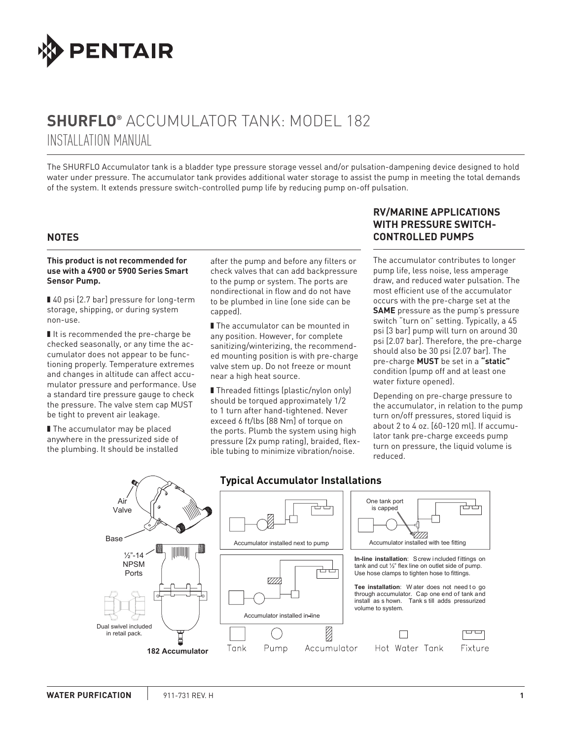

# **SHURFLO®** ACCUMULATOR TANK: MODEL 182 INSTALLATION MANUAL

The SHURflo Accumulator tank is a bladder type pressure storage vessel and/or pulsation-dampening device designed to hold water under pressure. The accumulator tank provides additional water storage to assist the pump in meeting the total demands of the system. It extends pressure switch-controlled pump life by reducing pump on-off pulsation.

### **NOTES**

#### **This product is not recommended for use with a 4900 or 5900 Series Smart Sensor Pump.**

■ 40 psi [2.7 bar] pressure for long-term storage, shipping, or during system non-use.

■ It is recommended the pre-charge be checked seasonally, or any time the accumulator does not appear to be functioning properly. Temperature extremes and changes in altitude can affect accumulator pressure and performance. Use a standard tire pressure gauge to check the pressure. The valve stem cap MUST be tight to prevent air leakage.

■ The accumulator may be placed anywhere in the pressurized side of the plumbing. It should be installed

after the pump and before any filters or check valves that can add backpressure to the pump or system. The ports are nondirectional in flow and do not have to be plumbed in line (one side can be capped).

■ The accumulator can be mounted in any position. However, for complete sanitizing/winterizing, the recommended mounting position is with pre-charge valve stem up. Do not freeze or mount near a high heat source.

■ Threaded fittings (plastic/nylon only) should be torqued approximately 1/2 to 1 turn after hand-tightened. Never exceed 6 ft/lbs [88 Nm] of torque on the ports. Plumb the system using high pressure (2x pump rating), braided, flexible tubing to minimize vibration/noise.

## **RV/MARINE APPLICATIONS WITH PRESSURE SWITCH-CONTROLLED PUMPS**

The accumulator contributes to longer pump life, less noise, less amperage draw, and reduced water pulsation. The most efficient use of the accumulator occurs with the pre-charge set at the **SAME** pressure as the pump's pressure switch "turn on" setting. Typically, a 45 psi [3 bar] pump will turn on around 30 psi [2.07 bar]. Therefore, the pre-charge should also be 30 psi [2.07 bar]. The pre-charge **MUST** be set in a **"static"**  condition (pump off and at least one water fixture opened).

Depending on pre-charge pressure to the accumulator, in relation to the pump turn on/off pressures, stored liquid is about 2 to 4 oz. [60-120 ml]. If accumulator tank pre-charge exceeds pump turn on pressure, the liquid volume is reduced.